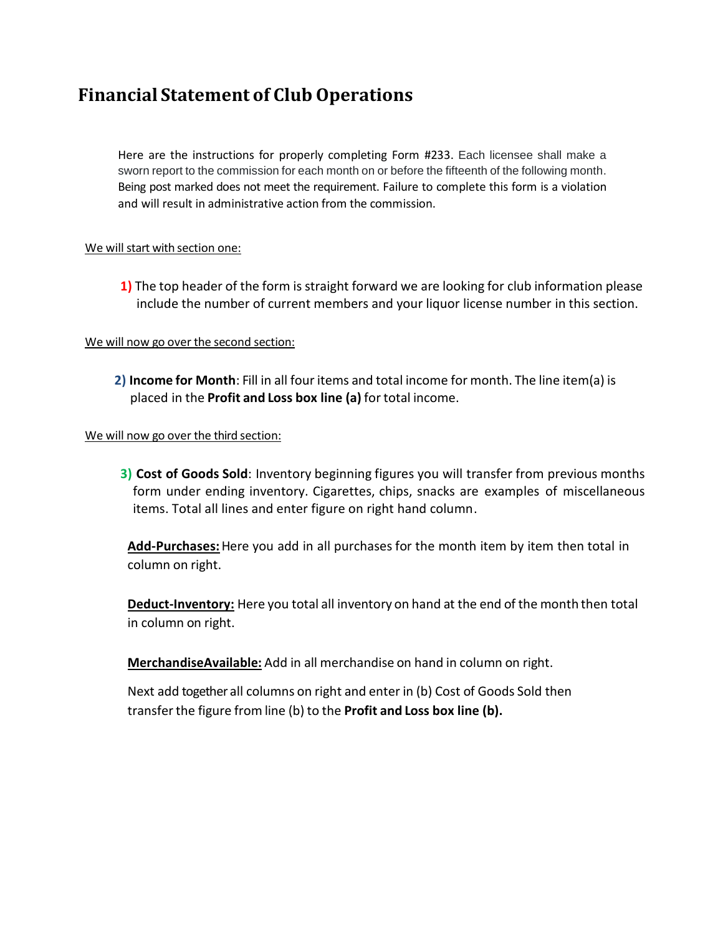# **Financial Statement of Club Operations**

Here are the instructions for properly completing Form #233. Each licensee shall make a sworn report to the commission for each month on or before the fifteenth of the following month. Being post marked does not meet the requirement. Failure to complete this form is a violation and will result in administrative action from the commission.

## We will start with section one:

**1)** The top header of the form is straight forward we are looking for club information please include the number of current members and your liquor license number in this section.

## We will now go over the second section:

**2) Income for Month**: Fill in all four items and total income for month. The line item(a) is placed in the **Profit and Loss box line (a)** for total income.

#### We will now go over the third section:

**3) Cost of Goods Sold**: Inventory beginning figures you will transfer from previous months form under ending inventory. Cigarettes, chips, snacks are examples of miscellaneous items. Total all lines and enter figure on right hand column.

**Add-Purchases:**Here you add in all purchases for the month item by item then total in column on right.

**Deduct-Inventory:** Here you total all inventory on hand at the end of the month then total in column on right.

**MerchandiseAvailable:** Add in all merchandise on hand in column on right.

Next add together all columns on right and enter in (b) Cost of Goods Sold then transferthe figure from line (b) to the **Profit and Loss box line (b).**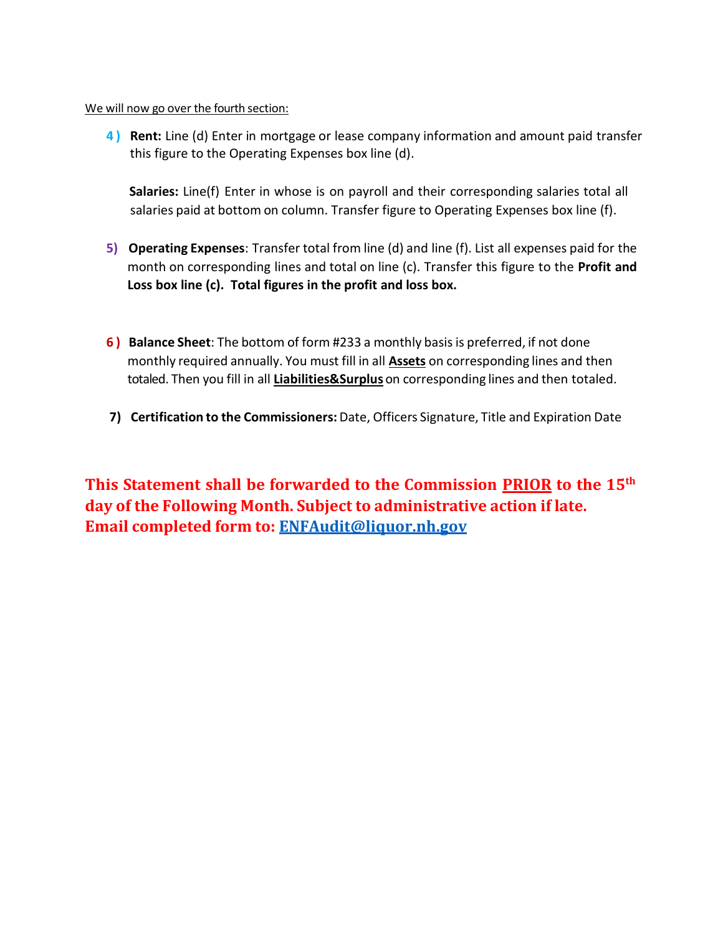#### We will now go over the fourth section:

**4 ) Rent:** Line (d) Enter in mortgage or lease company information and amount paid transfer this figure to the Operating Expenses box line (d).

**Salaries:** Line(f) Enter in whose is on payroll and their corresponding salaries total all salaries paid at bottom on column. Transfer figure to Operating Expenses box line (f).

- **5) Operating Expenses**: Transfer total from line (d) and line (f). List all expenses paid for the month on corresponding lines and total on line (c). Transfer this figure to the **Profit and Loss box line (c). Total figures in the profit and loss box.**
- **6 ) Balance Sheet**: The bottom of form #233 a monthly basisis preferred, if not done monthly required annually. You must fill in all **Assets** on corresponding lines and then totaled. Then you fill in all **Liabilities&Surplus** on corresponding lines and then totaled.
- **7) Certification to the Commissioners:** Date, Officers Signature, Title and Expiration Date

**This Statement shall be forwarded to the Commission PRIOR to the 15th day of the Following Month. Subject to administrative action if late. Email completed form to: [ENFAudit@liquor.nh.gov](mailto:ENFAudit@liquor.nh.gov)**